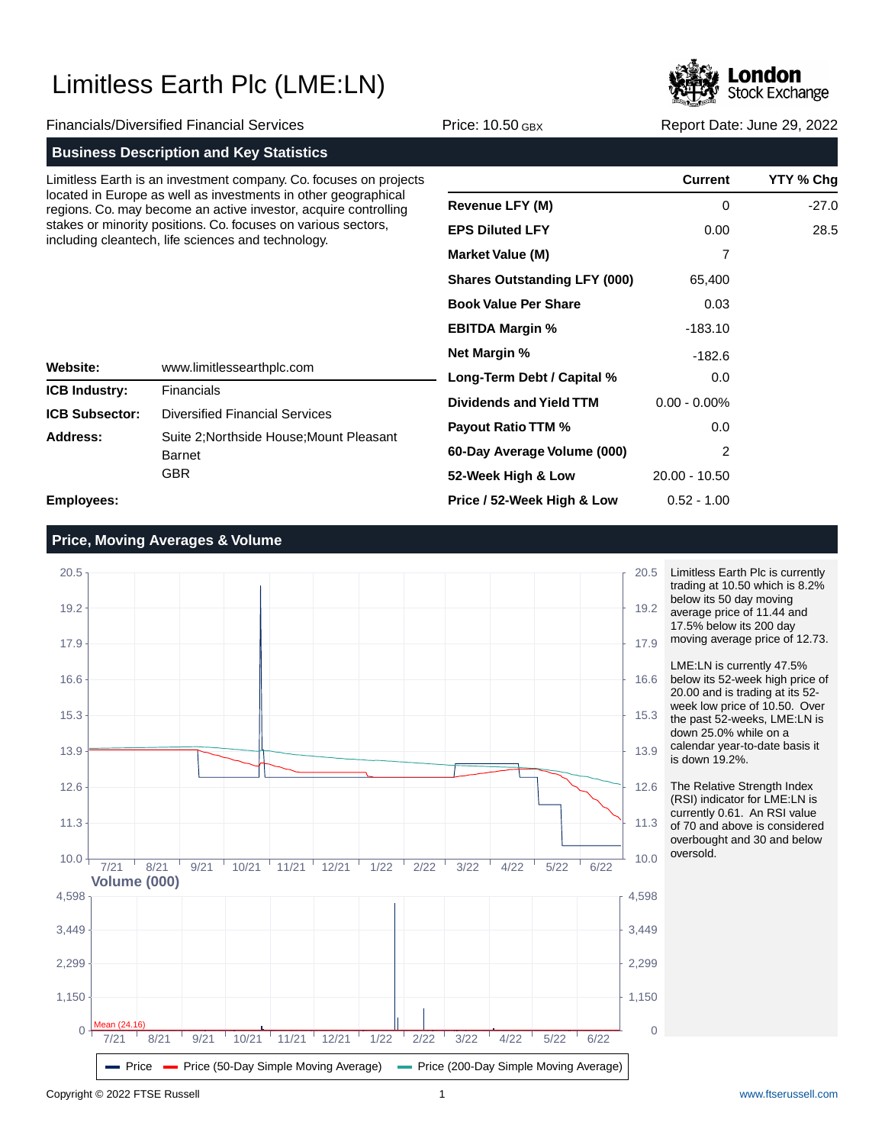

-27.0 28.5

### Financials/Diversified Financial Services Price: 10.50 GBX Report Date: June 29, 2022 **Business Description and Key Statistics Website: ICB Industry: ICB Subsector: Address: Current YTY % Chg Revenue LFY (M) EPS Diluted LFY Market Value (M) Shares Outstanding LFY (000) Book Value Per Share EBITDA Margin % Net Margin % Long-Term Debt / Capital % Dividends and Yield TTM Payout Ratio TTM % 60-Day Average Volume (000) 52-Week High & Low** Limitless Earth is an investment company. Co. focuses on projects located in Europe as well as investments in other geographical regions. Co. may become an active investor, acquire controlling stakes or minority positions. Co. focuses on various sectors, including cleantech, life sciences and technology. Financials Diversified Financial Services www.limitlessearthplc.com Suite 2;Northside House;Mount Pleasant Barnet GBR  $\Omega$ 0.00 7 65,400 0.03 -183.10 -182.6 0.0 0.00 - 0.00% 0.0 2 20.00 - 10.50

**Price / 52-Week High & Low**

**Employees:**

## **Price, Moving Averages & Volume**



Limitless Earth Plc is currently trading at 10.50 which is 8.2% below its 50 day moving average price of 11.44 and 17.5% below its 200 day moving average price of 12.73.

0.52 - 1.00

LME:LN is currently 47.5% below its 52-week high price of 20.00 and is trading at its 52 week low price of 10.50. Over the past 52-weeks, LME:LN is down 25.0% while on a calendar year-to-date basis it is down 19.2%.

The Relative Strength Index (RSI) indicator for LME:LN is currently 0.61. An RSI value of 70 and above is considered overbought and 30 and below oversold.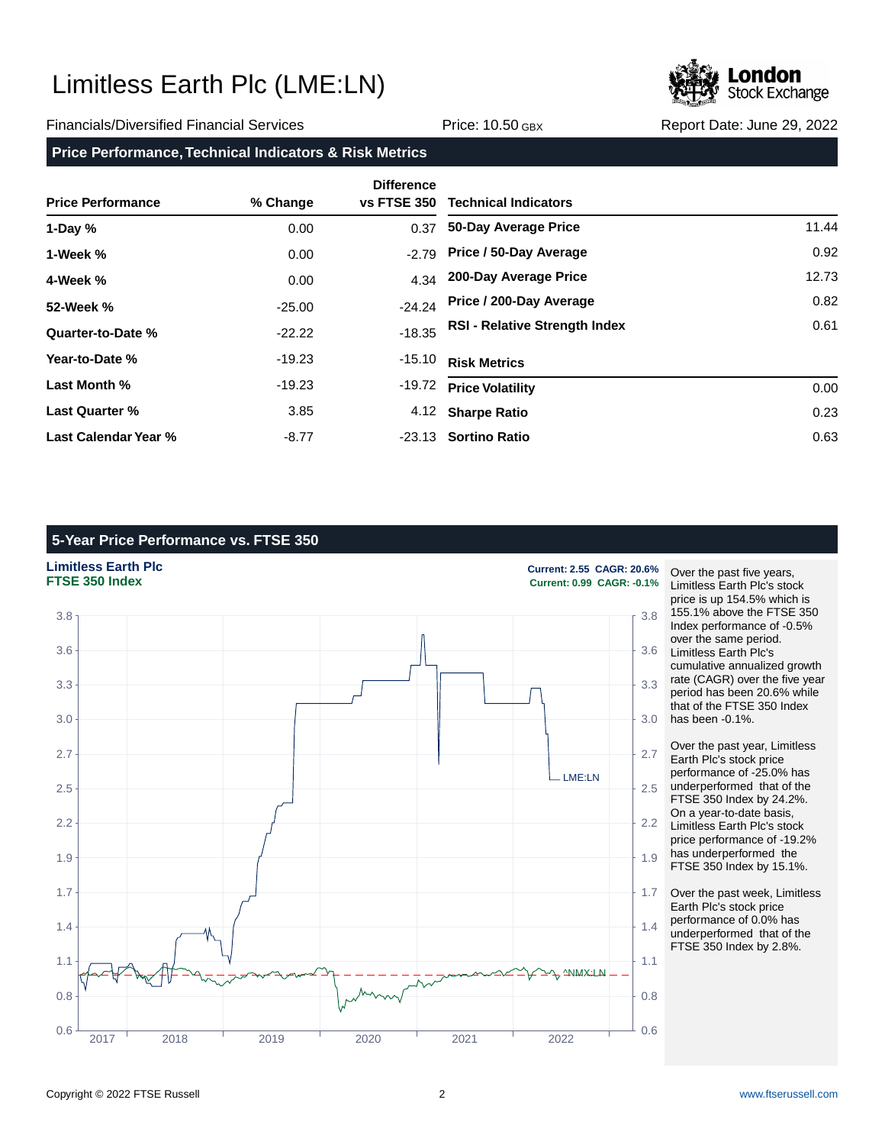

### Financials/Diversified Financial Services Price: 10.50 GBX Report Date: June 29, 2022

**Price Performance, Technical Indicators & Risk Metrics**

| <b>Price Performance</b> | % Change | <b>Difference</b><br><b>vs FTSE 350</b> | <b>Technical Indicators</b>          |       |
|--------------------------|----------|-----------------------------------------|--------------------------------------|-------|
| 1-Day $%$                | 0.00     | 0.37                                    | 50-Day Average Price                 | 11.44 |
| 1-Week %                 | 0.00     | $-2.79$                                 | Price / 50-Day Average               | 0.92  |
| 4-Week %                 | 0.00     | 4.34                                    | 200-Day Average Price                | 12.73 |
| 52-Week %                | $-25.00$ | $-24.24$                                | Price / 200-Day Average              | 0.82  |
| Quarter-to-Date %        | $-22.22$ | $-18.35$                                | <b>RSI - Relative Strength Index</b> | 0.61  |
| Year-to-Date %           | $-19.23$ | $-15.10$                                | <b>Risk Metrics</b>                  |       |
| Last Month %             | $-19.23$ | $-19.72$                                | <b>Price Volatility</b>              | 0.00  |
| <b>Last Quarter %</b>    | 3.85     |                                         | 4.12 Sharpe Ratio                    | 0.23  |
| Last Calendar Year %     | $-8.77$  |                                         | -23.13 Sortino Ratio                 | 0.63  |

## **5-Year Price Performance vs. FTSE 350**



Over the past five years, Limitless Earth Plc's stock price is up 154.5% which is 155.1% above the FTSE 350 Index performance of -0.5% over the same period. Limitless Earth Plc's cumulative annualized growth rate (CAGR) over the five year period has been 20.6% while that of the FTSE 350 Index has been -0.1%.

Over the past year, Limitless Earth Plc's stock price performance of -25.0% has underperformed that of the FTSE 350 Index by 24.2%. On a year-to-date basis, Limitless Earth Plc's stock price performance of -19.2% has underperformed the FTSE 350 Index by 15.1%.

Over the past week, Limitless Earth Plc's stock price performance of 0.0% has underperformed that of the FTSE 350 Index by 2.8%.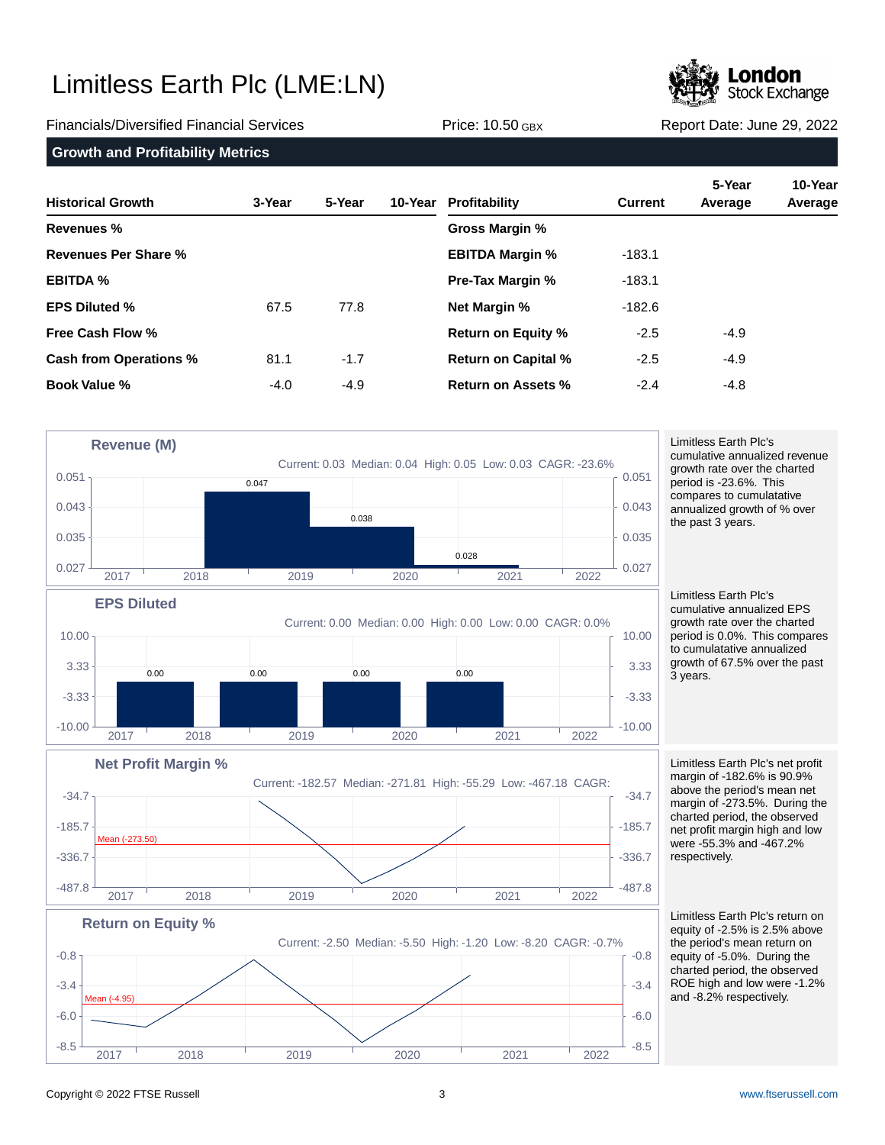

Financials/Diversified Financial Services Price: 10.50 GBX Report Date: June 29, 2022

**Growth and Profitability Metrics**

| <b>Historical Growth</b>      | 3-Year | 5-Year | 10-Year | Profitability              | <b>Current</b> | 5-Year<br>Average | 10-Year<br>Average |
|-------------------------------|--------|--------|---------|----------------------------|----------------|-------------------|--------------------|
| Revenues %                    |        |        |         | Gross Margin %             |                |                   |                    |
| <b>Revenues Per Share %</b>   |        |        |         | <b>EBITDA Margin %</b>     | $-183.1$       |                   |                    |
| <b>EBITDA %</b>               |        |        |         | <b>Pre-Tax Margin %</b>    | $-183.1$       |                   |                    |
| <b>EPS Diluted %</b>          | 67.5   | 77.8   |         | <b>Net Margin %</b>        | $-182.6$       |                   |                    |
| Free Cash Flow %              |        |        |         | <b>Return on Equity %</b>  | $-2.5$         | $-4.9$            |                    |
| <b>Cash from Operations %</b> | 81.1   | $-1.7$ |         | <b>Return on Capital %</b> | $-2.5$         | $-4.9$            |                    |
| <b>Book Value %</b>           | $-4.0$ | $-4.9$ |         | <b>Return on Assets %</b>  | $-2.4$         | $-4.8$            |                    |



Limitless Earth Plc's cumulative annualized EPS growth rate over the charted period is 0.0%. This compares to cumulatative annualized growth of 67.5% over the past 3 years.





Limitless Earth Plc's return on equity of -2.5% is 2.5% above the period's mean return on equity of -5.0%. During the charted period, the observed ROE high and low were -1.2%

and -8.2% respectively.

margin of -182.6% is 90.9% above the period's mean net margin of -273.5%. During the charted period, the observed net profit margin high and low were -55.3% and -467.2%

respectively.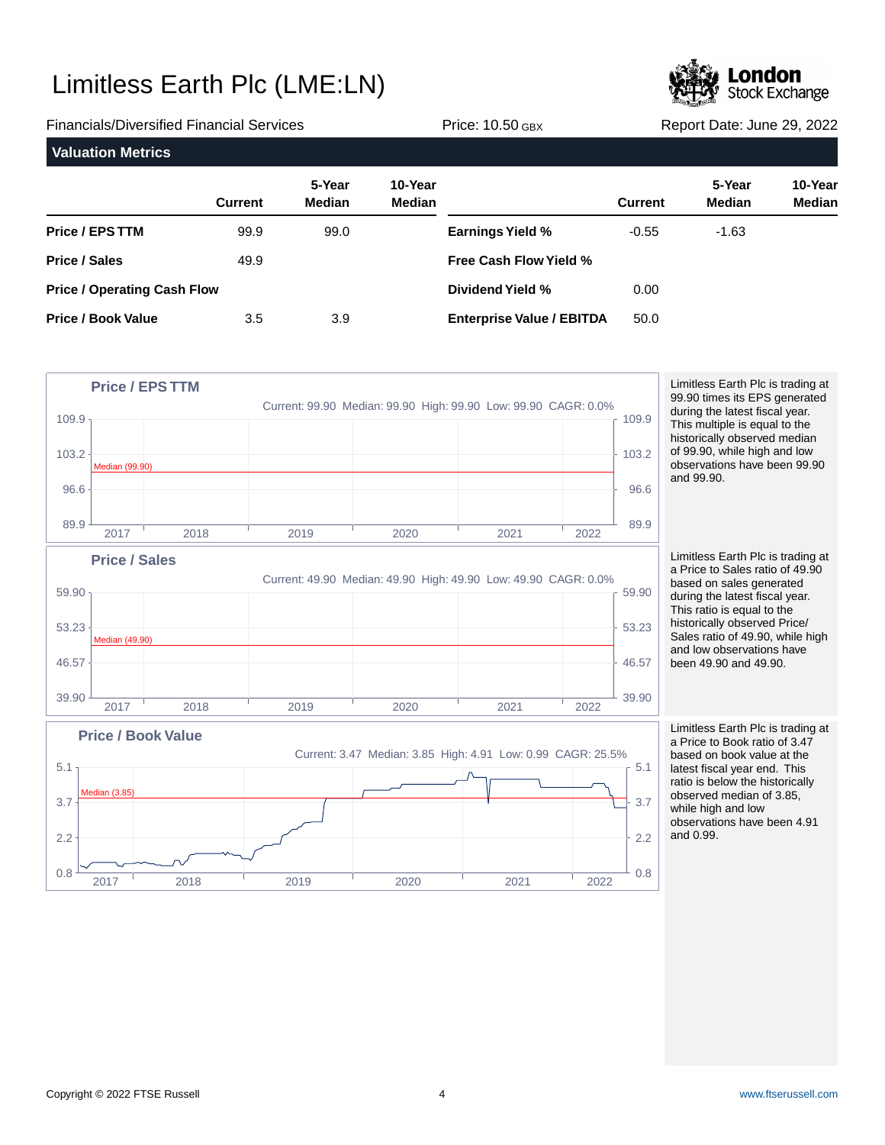

Financials/Diversified Financial Services Price: 10.50 GBX Report Date: June 29, 2022 **Valuation Metrics 5-Year 10-Year Current Median Median Price / EPS TTM Price / Sales Price / Operating Cash Flow Price / Book Value 5-Year 10-Year Current Median Median Earnings Yield % Free Cash Flow Yield % Dividend Yield % Enterprise Value / EBITDA** 99.9 49.9 3.5 99.0 3.9 -0.55 0.00 50.0 -1.63

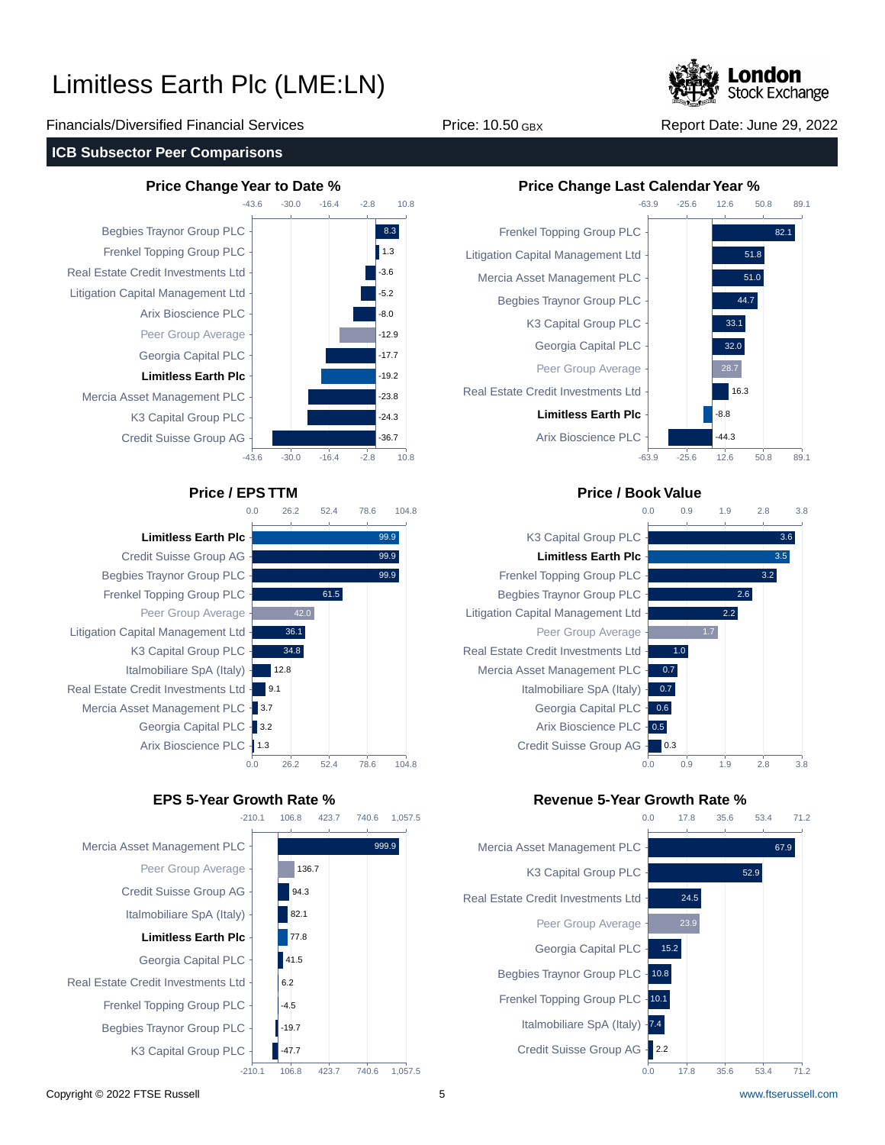

Financials/Diversified Financial Services Price: 10.50 GBX Report Date: June 29, 2022

### **ICB Subsector Peer Comparisons**



 $0.0$ 

**Limitless Earth Plc** Credit Suisse Group AG Begbies Traynor Group PLC Frenkel Topping Group PLC Peer Group Average Litigation Capital Management Ltd K3 Capital Group PLC Italmobiliare SpA (Italy) Real Estate Credit Investments Ltd Mercia Asset Management PLC - 3.7 Georgia Capital PLC - 3.2 Arix Bioscience PLC - 1.3







740.6

1,057.5

740.6

1,057.5



### **Price / EPS TTM Price / Book Value**  $0.0$

K3 Capital Group PLC **Limitless Earth Plc** Frenkel Topping Group PLC Begbies Traynor Group PLC Litigation Capital Management Ltd Peer Group Average Real Estate Credit Investments Ltd Mercia Asset Management PLC Italmobiliare SpA (Italy) Georgia Capital PLC Arix Bioscience PLC - 0.5 Credit Suisse Group AG

## $0.0$  $0.9$ 1.9  $2.8$  $3.6$ 3.5  $3.2$ 2.6  $2.2<sup>2</sup>$ 1.0 0.7 0.7 0.6  $\blacksquare$ 0.3

 $0.9$ 

1.9

2.8

3.8

3.8

## **EPS 5-Year Growth Rate % Revenue 5-Year Growth Rate %**

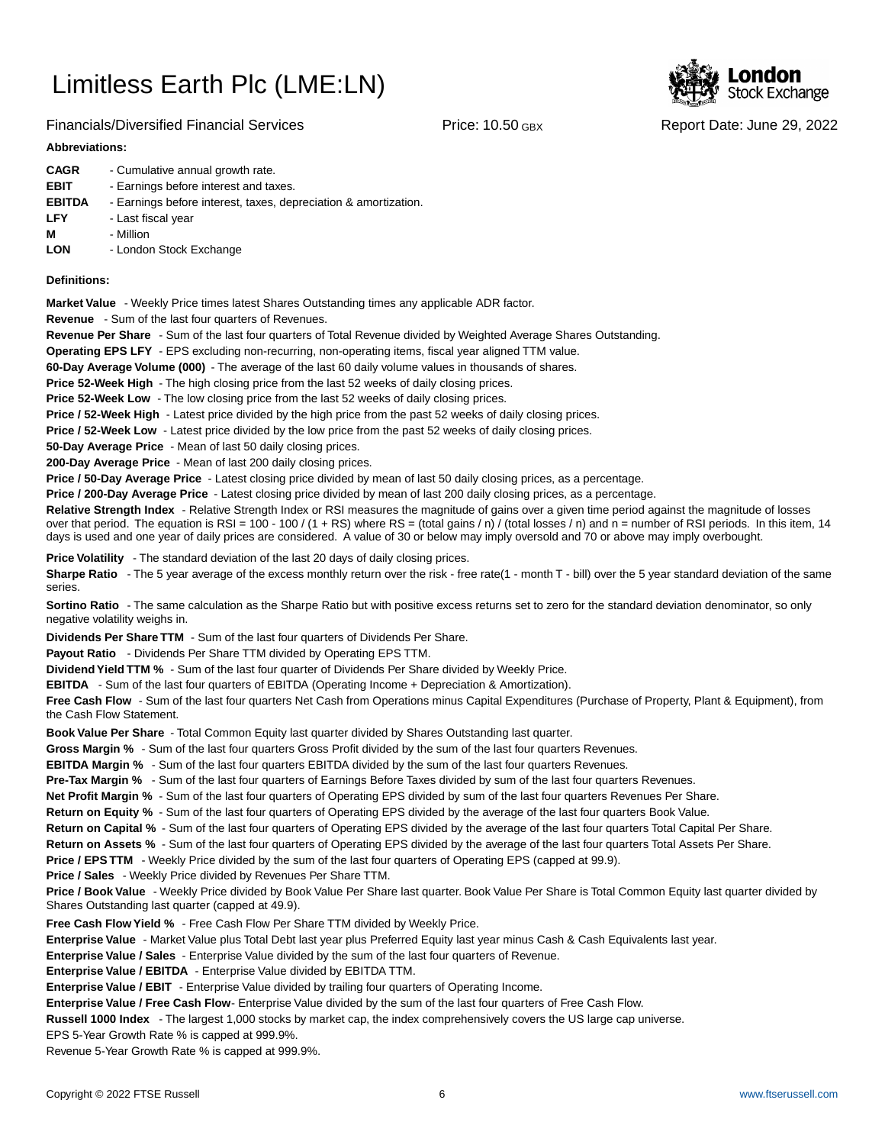

Financials/Diversified Financial Services Price: 10.50 GBX Report Date: June 29, 2022

### **Abbreviations:**

| - Earnings before interest, taxes, depreciation & amortization. |
|-----------------------------------------------------------------|
|                                                                 |
|                                                                 |
|                                                                 |
|                                                                 |

### **Definitions:**

**Market Value** - Weekly Price times latest Shares Outstanding times any applicable ADR factor.

**Revenue** - Sum of the last four quarters of Revenues.

**Revenue Per Share** - Sum of the last four quarters of Total Revenue divided by Weighted Average Shares Outstanding.

**Operating EPS LFY** - EPS excluding non-recurring, non-operating items, fiscal year aligned TTM value.

60-Day Average Volume (000) - The average of the last 60 daily volume values in thousands of shares.

**Price 52-Week High** - The high closing price from the last 52 weeks of daily closing prices.

**Price 52-Week Low** - The low closing price from the last 52 weeks of daily closing prices.

**Price / 52-Week High** - Latest price divided by the high price from the past 52 weeks of daily closing prices.

**Price / 52-Week Low** - Latest price divided by the low price from the past 52 weeks of daily closing prices.

**50-Day Average Price** - Mean of last 50 daily closing prices.

**200-Day Average Price** - Mean of last 200 daily closing prices.

Price / 50-Day Average Price - Latest closing price divided by mean of last 50 daily closing prices, as a percentage.

**Price / 200-Day Average Price** - Latest closing price divided by mean of last 200 daily closing prices, as a percentage.

Relative Strength Index - Relative Strength Index or RSI measures the magnitude of gains over a given time period against the magnitude of losses over that period. The equation is RSI = 100 - 100 / (1 + RS) where RS = (total gains / n) / (total losses / n) and n = number of RSI periods. In this item, 14 days is used and one year of daily prices are considered. A value of 30 or below may imply oversold and 70 or above may imply overbought.

**Price Volatility** - The standard deviation of the last 20 days of daily closing prices.

Sharpe Ratio - The 5 year average of the excess monthly return over the risk - free rate(1 - month T - bill) over the 5 year standard deviation of the same series.

**Sortino Ratio** - The same calculation as the Sharpe Ratio but with positive excess returns set to zero for the standard deviation denominator, so only negative volatility weighs in.

**Dividends Per Share TTM** - Sum of the last four quarters of Dividends Per Share.

Payout Ratio - Dividends Per Share TTM divided by Operating EPS TTM.

**Dividend Yield TTM %** - Sum of the last four quarter of Dividends Per Share divided by Weekly Price.

**EBITDA** - Sum of the last four quarters of EBITDA (Operating Income + Depreciation & Amortization).

**Free Cash Flow** - Sum of the last four quarters Net Cash from Operations minus Capital Expenditures (Purchase of Property, Plant & Equipment), from the Cash Flow Statement.

**Book Value Per Share** - Total Common Equity last quarter divided by Shares Outstanding last quarter.

**Gross Margin %** - Sum of the last four quarters Gross Profit divided by the sum of the last four quarters Revenues.

**EBITDA Margin %** - Sum of the last four quarters EBITDA divided by the sum of the last four quarters Revenues.

**Pre-Tax Margin %** - Sum of the last four quarters of Earnings Before Taxes divided by sum of the last four quarters Revenues.

**Net Profit Margin %** - Sum of the last four quarters of Operating EPS divided by sum of the last four quarters Revenues Per Share.

**Return on Equity %** - Sum of the last four quarters of Operating EPS divided by the average of the last four quarters Book Value.

**Return on Capital %** - Sum of the last four quarters of Operating EPS divided by the average of the last four quarters Total Capital Per Share.

**Return on Assets %** - Sum of the last four quarters of Operating EPS divided by the average of the last four quarters Total Assets Per Share.

**Price / EPS TTM** - Weekly Price divided by the sum of the last four quarters of Operating EPS (capped at 99.9).

**Price / Sales** - Weekly Price divided by Revenues Per Share TTM.

**Price / Book Value** - Weekly Price divided by Book Value Per Share last quarter. Book Value Per Share is Total Common Equity last quarter divided by Shares Outstanding last quarter (capped at 49.9).

**Free Cash Flow Yield %** - Free Cash Flow Per Share TTM divided by Weekly Price.

Enterprise Value - Market Value plus Total Debt last year plus Preferred Equity last year minus Cash & Cash Equivalents last year.

**Enterprise Value / Sales** - Enterprise Value divided by the sum of the last four quarters of Revenue.

**Enterprise Value / EBITDA** - Enterprise Value divided by EBITDA TTM.

**Enterprise Value / EBIT** - Enterprise Value divided by trailing four quarters of Operating Income.

Enterprise Value / Free Cash Flow- Enterprise Value divided by the sum of the last four quarters of Free Cash Flow.

**Russell 1000 Index** - The largest 1,000 stocks by market cap, the index comprehensively covers the US large cap universe.

EPS 5-Year Growth Rate % is capped at 999.9%.

Revenue 5-Year Growth Rate % is capped at 999.9%.